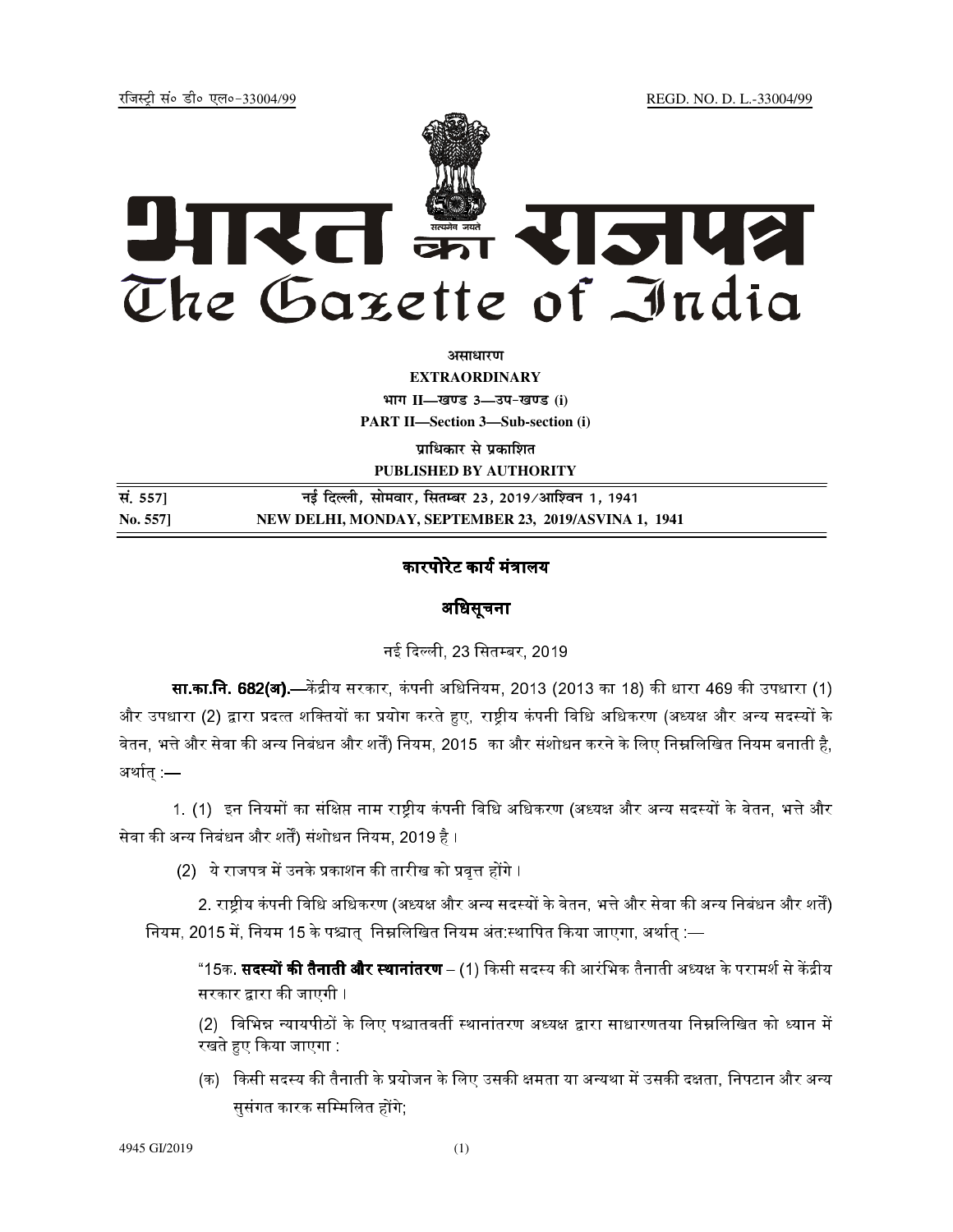REGD. NO. D. L.-33004/99

रजिस्टी सं० डी० एल०-33004/99



अमाधारण

**EXTRAORDINARY** भाग II-खण्ड 3-उप-खण्ड (i) **PART II-Section 3-Sub-section (i)** 

प्राधिकार से प्रकाशित PUBLISHED BY AUTHORITY

| सं. 557] | नई दिल्ली, सोमवार, सितम्बर 23, 2019/आश्विन 1, 1941   |
|----------|------------------------------------------------------|
| No. 5571 | NEW DELHI, MONDAY, SEPTEMBER 23, 2019/ASVINA 1, 1941 |

# कारपोरेट कार्य मंत्रालय

### अधिसूचना

नई दिल्ली, 23 सितम्बर, 2019

**सा.का.नि. 682(अ).—**केंद्रीय सरकार, कंपनी अधिनियम, 2013 (2013 का 18) की धारा 469 की उपधारा (1) और उपधारा (2) द्वारा प्रदत्त शक्तियों का प्रयोग करते हुए, राष्ट्रीय कंपनी विधि अधिकरण (अध्यक्ष और अन्य सदस्यों के वेतन, भत्ते और सेवा की अन्य निबंधन और शर्तें) नियम, 2015 का और संशोधन करने के लिए निम्नलिखित नियम बनाती है, अर्थात :—

1. (1) इन नियमों का संक्षिप्त नाम राष्ट्रीय कंपनी विधि अधिकरण (अध्यक्ष और अन्य सदस्यों के वेतन, भत्ते और सेवा की अन्य निबंधन और शर्तें) संशोधन नियम, 2019 है ।

(2) ये राजपत्र में उनके प्रकाशन की तारीख को प्रवृत्त होंगे ।

2. राष्ट्रीय कंपनी विधि अधिकरण (अध्यक्ष और अन्य सदस्यों के वेतन, भत्ते और सेवा की अन्य निबंधन और शर्तें) नियम, 2015 में, नियम 15 के पश्चात् निम्नलिखित नियम अंत स्थापित किया जाएगा, अर्थात् :—

"15क. **सदस्यों की तैनाती और स्थानांतरण** – (1) किसी सदस्य की आरंभिक तैनाती अध्यक्ष के परामर्श से केंद्रीय सरकार द्वारा की जाएगी ।

(2) विभिन्न न्यायपीठों के लिए पश्चातवर्ती स्थानांतरण अध्यक्ष द्वारा साधारणतया निम्नलिखित को ध्यान में रखते हुए किया जाएगा :

(क) किसी सदस्य की तैनाती के प्रयोजन के लिए उसकी क्षमता या अन्यथा में उसकी दक्षता, निपटान और अन्य सुसंगत कारक सम्मिलित होंगे: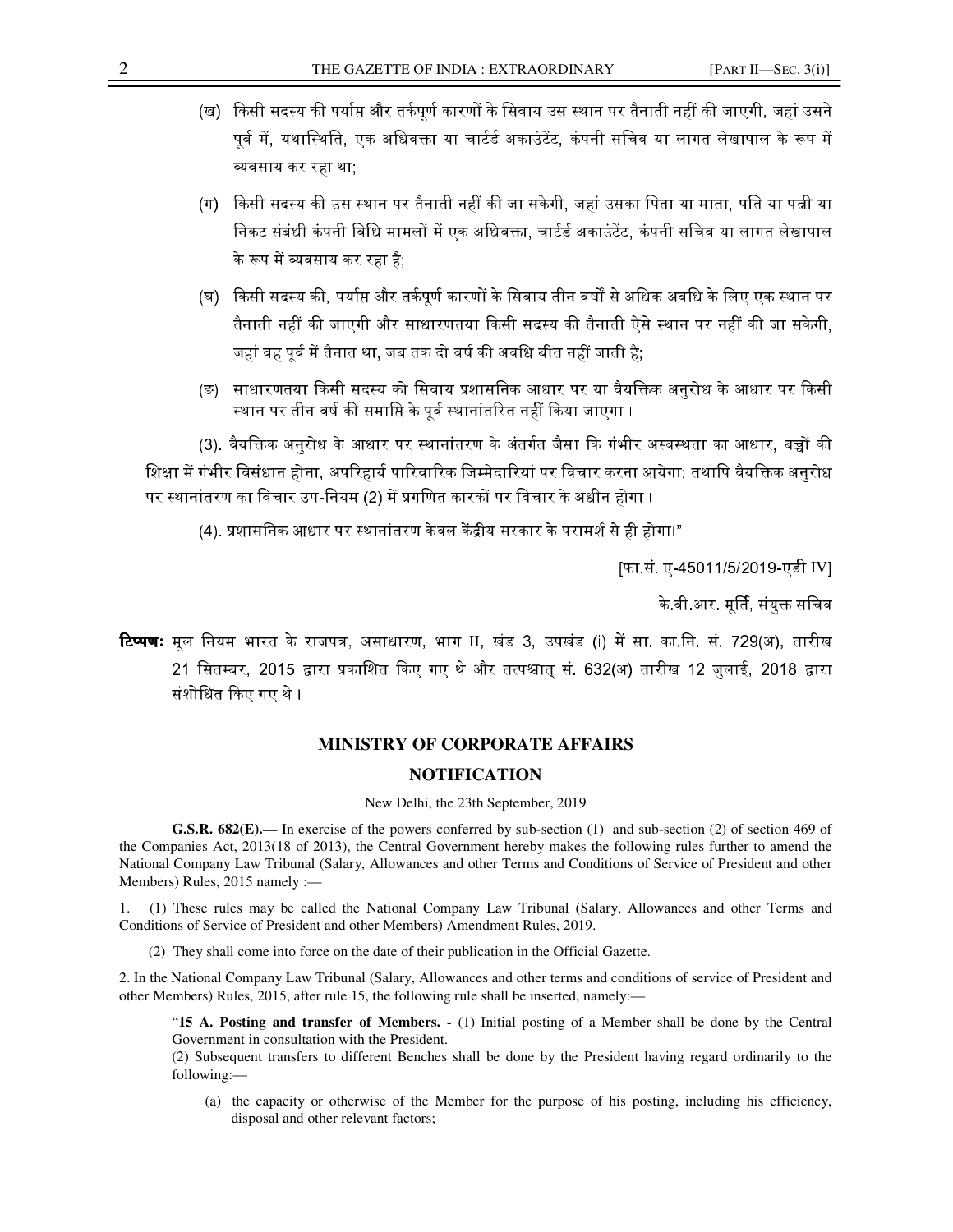- (ख) किसी सदस्य की पर्याप्त और तर्कपूर्ण कारणों के सिवाय उस स्थान पर तैनाती नहीं की जाएगी, जहां उसने पूर्व में, यथास्थिति, एक अधिवक्ता या चार्टर्ड अकाउंटेंट, कंपनी सचिव या लागत लेखापाल के रूप में व्यवसाय कर रहा था:
- (ग) किसी सदस्य की उस स्थान पर तैनाती नहीं की जा सकेगी, जहां उसका पिता या माता, पति या पत्नी या निकट संबंधी कंपनी विधि मामलों में एक अधिवक्ता, चार्टर्ड अकाउंटेंट, कंपनी सचिव या लागत लेखापाल <u>के रूप में व्यवसाय कर रहा है:</u>
- (घ) किसी सदस्य की, पर्याप्त और तर्कपूर्ण कारणों के सिवाय तीन वर्षों से अधिक अवधि के लिए एक स्थान पर तैनाती नहीं की जाएगी और साधारणतया किसी सदस्य की तैनाती ऐसे स्थान पर नहीं की जा सकेगी, जहां वह पूर्व में तैनात था, जब तक दो वर्ष की अवधि बीत नहीं जाती है;
- (ङ) साधारणतया किसी सदस्य को सिवाय प्रशासनिक आधार पर या वैयक्तिक अनुरोध के आधार पर किसी स्थान पर तीन वर्ष की समाप्ति के पूर्व स्थानांतरित नहीं किया जाएगा ।

(3). वैयक्तिक अनुरोध के आधार पर स्थानांतरण के अंतर्गत जैसा कि गंभीर अस्वस्थता का आधार, बच्चों की शिक्षा में गंभीर विसंधान होना, अपरिहार्य पारिवारिक जिम्मेदारियां पर विचार करना आयेगा: तथापि वैयक्तिक अनरोध पर स्थानांतरण का विचार उप-नियम (2) में प्रगणित कारकों पर विचार के अधीन होगा ।

(4). प्रशासनिक आधार पर स्थानांतरण केवल केंद्रीय सरकार के परामर्श से ही होगा।"

[फा.सं. ए-45011/5/2019-एडी IV]

के वी आर. मूर्ति, संयुक्त सचिव

**टिप्पणः** मूल नियम भारत के राजपत्र, असाधारण, भाग II, खंड 3, उपखंड (i) में सा. का.नि. सं. 729(अ), तारीख 21 सितम्बर, 2015 द्वारा प्रकाशित किए गए थे और तत्पश्चात सं. 632(अ) तारीख 12 जुलाई, 2018 द्वारा संशोधित किए गए थे ।

## **MINISTRY OF CORPORATE AFFAIRS**

#### **NOTIFICATION**

#### New Delhi, the 23th September, 2019

G.S.R. 682(E).— In exercise of the powers conferred by sub-section (1) and sub-section (2) of section 469 of the Companies Act, 2013(18 of 2013), the Central Government hereby makes the following rules further to amend the National Company Law Tribunal (Salary, Allowances and other Terms and Conditions of Service of President and other Members) Rules, 2015 namely :-

(1) These rules may be called the National Company Law Tribunal (Salary, Allowances and other Terms and Conditions of Service of President and other Members) Amendment Rules, 2019.

(2) They shall come into force on the date of their publication in the Official Gazette.

2. In the National Company Law Tribunal (Salary, Allowances and other terms and conditions of service of President and other Members) Rules, 2015, after rule 15, the following rule shall be inserted, namely:—

"15 A. Posting and transfer of Members. - (1) Initial posting of a Member shall be done by the Central Government in consultation with the President.

(2) Subsequent transfers to different Benches shall be done by the President having regard ordinarily to the following:-

(a) the capacity or otherwise of the Member for the purpose of his posting, including his efficiency, disposal and other relevant factors;